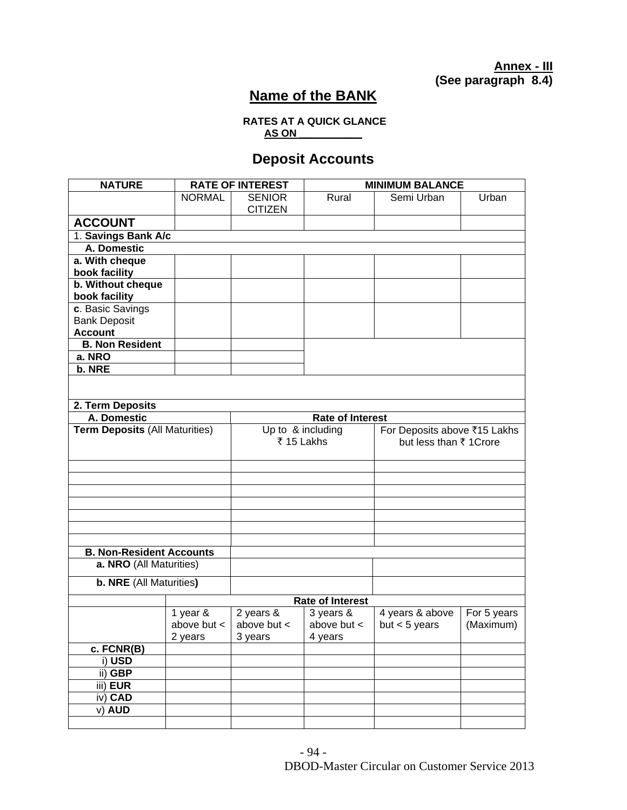**Annex - III (See paragraph 8.4)** 

## **Name of the BANK**

## **RATES AT A QUICK GLANCE AS ON \_\_\_\_\_\_\_\_\_\_\_**

## **Deposit Accounts**

| <b>NATURE</b>                         |                             | <b>RATE OF INTEREST</b>      |                              |                                    | <b>MINIMUM BALANCE</b>       |  |  |  |  |
|---------------------------------------|-----------------------------|------------------------------|------------------------------|------------------------------------|------------------------------|--|--|--|--|
|                                       | <b>NORMAL</b>               | <b>SENIOR</b>                | Rural                        | Semi Urban                         | Urban                        |  |  |  |  |
|                                       |                             | <b>CITIZEN</b>               |                              |                                    |                              |  |  |  |  |
| <b>ACCOUNT</b>                        |                             |                              |                              |                                    |                              |  |  |  |  |
|                                       | 1. Savings Bank A/c         |                              |                              |                                    |                              |  |  |  |  |
|                                       | A. Domestic                 |                              |                              |                                    |                              |  |  |  |  |
| a. With cheque                        |                             |                              |                              |                                    |                              |  |  |  |  |
| book facility                         |                             |                              |                              |                                    |                              |  |  |  |  |
| b. Without cheque                     |                             |                              |                              |                                    |                              |  |  |  |  |
| book facility                         |                             |                              |                              |                                    |                              |  |  |  |  |
| c. Basic Savings                      |                             |                              |                              |                                    |                              |  |  |  |  |
| <b>Bank Deposit</b>                   |                             |                              |                              |                                    |                              |  |  |  |  |
| <b>Account</b>                        |                             |                              |                              |                                    |                              |  |  |  |  |
| <b>B. Non Resident</b>                |                             |                              |                              |                                    |                              |  |  |  |  |
| a. NRO<br>b. NRE                      |                             |                              |                              |                                    |                              |  |  |  |  |
|                                       |                             |                              |                              |                                    |                              |  |  |  |  |
|                                       |                             |                              |                              |                                    |                              |  |  |  |  |
| 2. Term Deposits                      |                             |                              |                              |                                    |                              |  |  |  |  |
| A. Domestic                           |                             |                              | <b>Rate of Interest</b>      |                                    |                              |  |  |  |  |
| <b>Term Deposits (All Maturities)</b> |                             |                              | Up to & including            |                                    | For Deposits above ₹15 Lakhs |  |  |  |  |
|                                       |                             | ₹ 15 Lakhs                   |                              | but less than ₹ 1 Crore            |                              |  |  |  |  |
|                                       |                             |                              |                              |                                    |                              |  |  |  |  |
|                                       |                             |                              |                              |                                    |                              |  |  |  |  |
|                                       |                             |                              |                              |                                    |                              |  |  |  |  |
|                                       |                             |                              |                              |                                    |                              |  |  |  |  |
|                                       |                             |                              |                              |                                    |                              |  |  |  |  |
|                                       |                             |                              |                              |                                    |                              |  |  |  |  |
|                                       |                             |                              |                              |                                    |                              |  |  |  |  |
|                                       |                             |                              |                              |                                    |                              |  |  |  |  |
| <b>B. Non-Resident Accounts</b>       |                             |                              |                              |                                    |                              |  |  |  |  |
| a. NRO (All Maturities)               |                             |                              |                              |                                    |                              |  |  |  |  |
| b. NRE (All Maturities)               |                             |                              |                              |                                    |                              |  |  |  |  |
|                                       |                             |                              |                              |                                    |                              |  |  |  |  |
|                                       | <b>Rate of Interest</b>     |                              |                              |                                    |                              |  |  |  |  |
|                                       | 1 year &<br>above but $\lt$ | 2 years &<br>above but $\lt$ | 3 years &<br>above but $\lt$ | 4 years & above<br>but $<$ 5 years | For 5 years<br>(Maximum)     |  |  |  |  |
|                                       | 2 years                     | 3 years                      |                              |                                    |                              |  |  |  |  |
| c. FCNR(B)                            |                             |                              | 4 years                      |                                    |                              |  |  |  |  |
| i) USD                                |                             |                              |                              |                                    |                              |  |  |  |  |
| ii) GBP                               |                             |                              |                              |                                    |                              |  |  |  |  |
| iii) EUR                              |                             |                              |                              |                                    |                              |  |  |  |  |
| iv) CAD                               |                             |                              |                              |                                    |                              |  |  |  |  |
| v) AUD                                |                             |                              |                              |                                    |                              |  |  |  |  |
|                                       |                             |                              |                              |                                    |                              |  |  |  |  |
|                                       |                             |                              |                              |                                    |                              |  |  |  |  |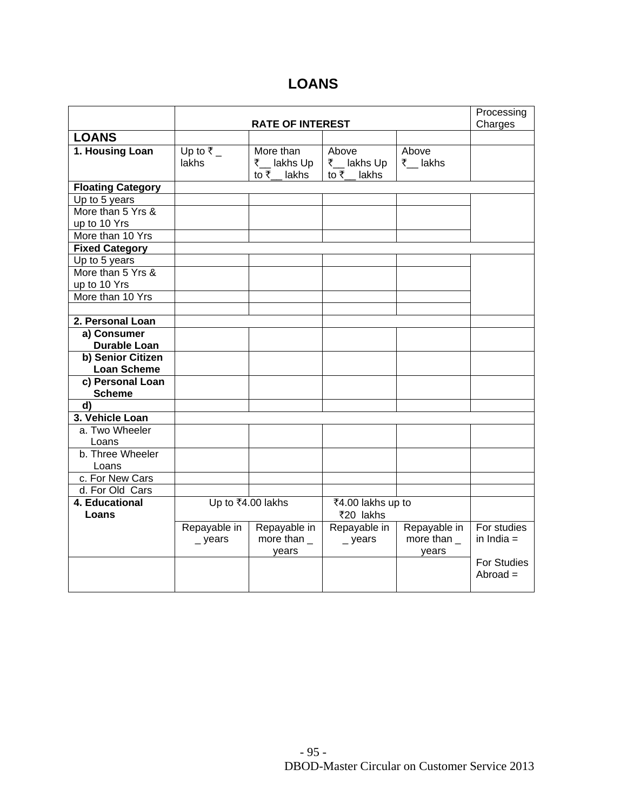## **LOANS**

|                          |                      | Processing       |                    |              |                    |
|--------------------------|----------------------|------------------|--------------------|--------------|--------------------|
|                          |                      | Charges          |                    |              |                    |
| <b>LOANS</b>             |                      |                  |                    |              |                    |
| 1. Housing Loan          | Up to $\overline{z}$ | More than        | Above              | Above        |                    |
|                          | lakhs                | ₹__ lakhs Up     | ₹__ lakhs Up       | ₹__lakhs     |                    |
|                          |                      | to ₹__lakhs      | to $\bar{z}$ lakhs |              |                    |
| <b>Floating Category</b> |                      |                  |                    |              |                    |
| Up to 5 years            |                      |                  |                    |              |                    |
| More than 5 Yrs &        |                      |                  |                    |              |                    |
| up to 10 Yrs             |                      |                  |                    |              |                    |
| More than 10 Yrs         |                      |                  |                    |              |                    |
| <b>Fixed Category</b>    |                      |                  |                    |              |                    |
| Up to 5 years            |                      |                  |                    |              |                    |
| More than 5 Yrs &        |                      |                  |                    |              |                    |
| up to 10 Yrs             |                      |                  |                    |              |                    |
| More than 10 Yrs         |                      |                  |                    |              |                    |
|                          |                      |                  |                    |              |                    |
| 2. Personal Loan         |                      |                  |                    |              |                    |
| a) Consumer              |                      |                  |                    |              |                    |
| <b>Durable Loan</b>      |                      |                  |                    |              |                    |
| b) Senior Citizen        |                      |                  |                    |              |                    |
| <b>Loan Scheme</b>       |                      |                  |                    |              |                    |
| c) Personal Loan         |                      |                  |                    |              |                    |
| <b>Scheme</b>            |                      |                  |                    |              |                    |
| d)                       |                      |                  |                    |              |                    |
| 3. Vehicle Loan          |                      |                  |                    |              |                    |
| a. Two Wheeler           |                      |                  |                    |              |                    |
| Loans                    |                      |                  |                    |              |                    |
| b. Three Wheeler         |                      |                  |                    |              |                    |
| Loans                    |                      |                  |                    |              |                    |
| c. For New Cars          |                      |                  |                    |              |                    |
| d. For Old Cars          |                      |                  |                    |              |                    |
| 4. Educational           | Up to ₹4.00 lakhs    |                  | ₹4.00 lakhs up to  |              |                    |
| Loans                    |                      |                  | ₹20 lakhs          |              |                    |
|                          | Repayable in         | Repayable in     | Repayable in       | Repayable in | For studies        |
|                          | $\_$ years           | more than $_{-}$ | $\_$ years         | more than    | in India $=$       |
|                          |                      | years            |                    | years        |                    |
|                          |                      |                  |                    |              | <b>For Studies</b> |
|                          |                      |                  |                    |              | $Abroad =$         |
|                          |                      |                  |                    |              |                    |